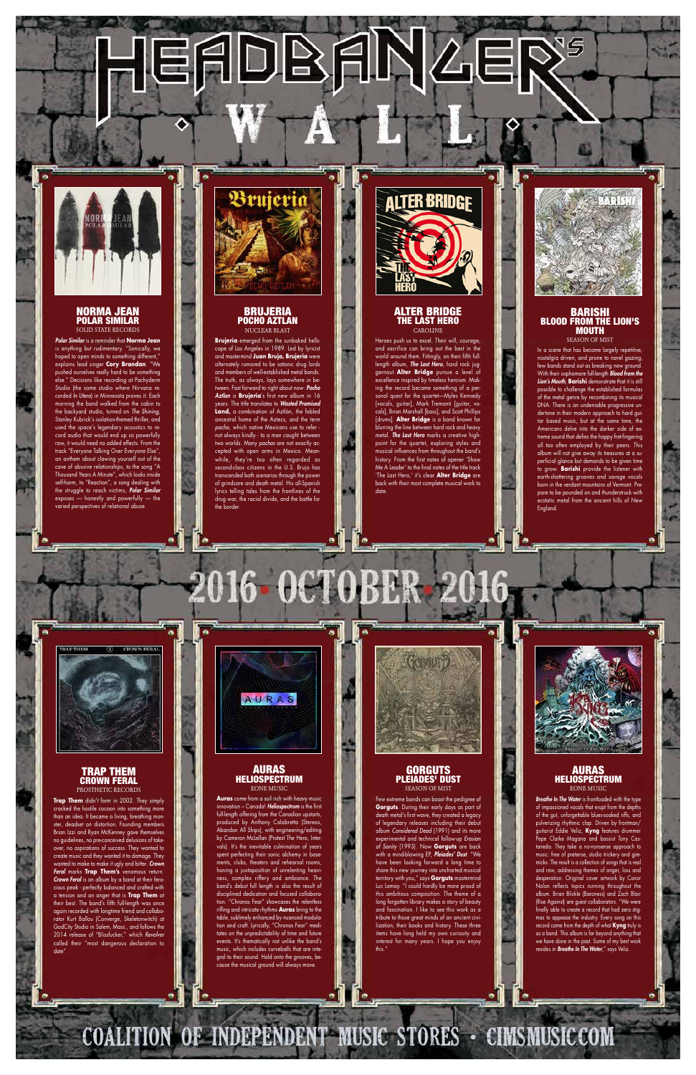# EADBANZE



# NORMA JEAN POLAR SIMILAR SOLID STATE RECORDS

*Polar Similar* is a reminder that **Norma Jean** is anything but rudimentary. "Sonically, we hoped to open minds to something different," explains lead singer **Cory Brandan**. "We pushed ourselves really hard to be something else." Decisions like recording at Pachyderm Studio (the same studio where Nirvana recorded *In Utero*) in Minnesota proves it. Each morning the band walked from the cabin to the backyard studio, turned on *The Shining*, Stanley Kubrick's isolation-themed thriller, and used the space's legendary acoustics to record audio that would end up so powerfully raw, it would need no added effects. From the "Everyone Talking Over Everyone Else" an anthem about clawing yourself out of the cave of abusive relationships, to the song "A Thousand Years A Minute", which looks inside ............<br>harm, to "Reaction", a song deali the struggle to reach victims, **Polar Sin** exposes — honestly and powerfully — the varied perspectives of relational abuse.



# BRUJERIA POCHO AZTLAN NUCLEAR BLAST

In a scene that has become largely repetitive, nostalgia driven, and prone to navel gazing, few bands stand out as breaking new grou With their sophomore full-length *Blood from the Lion's Mouth*, **Barishi** demonstrate that it is still possible to challenge the established formulas of the metal genre by recombining its musical DNA. There is an undeniable progressive undertone in their modern approach to hard guitar based music, but at the same time, the Americans delve into the darker side of extreme sound that defies the happy fret-fingering all too often employed by their peers. This album will not give away its treasures at a superficial glance but demands to be given time to grow. **Barishi** provide the listener with ittering grooves and savage vocals born in the verdant mountains of Vermont. Prepare to be pounded on and thunderstruck with ecstatic metal from the ancient hills of New **England** 



**Brujeria** emerged from the sunbaked hellscape of Los Angeles in 1989. Led by lyricist and mastermind **Juan Brujo, Brujeria** were alternately rumored to be satanic drug lords and members of well-established metal bands. The truth, as always, lays somewhere in between. Fast forward to right about now: *Pocho Aztlan* is **Brujeria**'s first new album in 16 years. The title translates to *Wasted Promised* **Land,** a combination of Aztlán, the fabled ancestral home of the Aztecs, and the term *pocho*, which native Mexicans use to refer not always kindly - to a man caught between two worlds. Many *pochos* are not exactly accepted with open arms in Mexico. Meanwhile, they're too often regarded as second-class citizens in the U.S. Brujo has transcended both scenarios through the power of grindcore and death metal. His all-Spanish lyrics telling tales from the frontlines of the drug war, the racial divide, and the battle for the border.



# ALTER BRIDGE THE LAST HERO CAROLINE

Heroes push us to excel. Their will, courage, and sacrifice can bring out the best in the world around them. Fittingly, on their fifth fulllength album, *The Last Hero*, hard rock juggernaut **Alter Bridge** pursue a level of excellence inspired by timeless heroism. Making the record became something of a personal quest for the quartet—Myles Kennedy [vocals, guitar], Mark Tremonti [guitar, vocals], Brian Marshall [bass], and Scott Phillips [drums]. **Alter Bridge** is a band known for blurring the line between hard rock and heavy metal. *The Last Hero* marks a creative highpoint for the quartet, exploring styles and musical influences from throughout the band's history. From the first notes of opener 'Show Me A Leader' to the final notes of the title track 'The Last Hero,' it's clear **Alter Bridge** are back with their most complete musical work to date.



# BARISHI BLOOD FROM THE LION'S MOUTH SEASON OF MIST

**GORGUTS** PLEIADES' DUST



TRAP THEM CROWN FERAL



16 OC

## PROSTHETIC RECORDS

**Trap Them** didn't form in 2002. They simply cracked the hostile cocoon into something more than an idea. It became a living, breathing monster, deadset on distortion. Founding members Brian Izzi and Ryan McKenney gave themselves no guidelines, no pre-conceived delusions of takeover, no aspirations of success. They wanted to create music and they wanted it to damage. They wanted to make to make it ugly and bitter. *Crown Feral* marks **Trap Them's** venomous return. *Crown Feral* is an album by a band at their ferocious peak - perfectly balanced and crafted with a tension and an anger that is **Trap Them** at their best. The band's fifth full-length was once again recorded with longtime friend and collaborator Kurt Ballou (Converge, Skeletonwitch) at GodCity Studio in Salem, Mass., and follows the 2014 release of "Blissfucker," which *Revolver* called their "most dangerous declaration to date".

AURAS **HELIOSPECTRUM** EONE MUSIC



**Auras** come from a soil rich with heavy music innovation – Canada! *Heliospectrum* is the first full-length offering from the Canadian upstarts, produced by Anthony Calabretta (Stereos, Abandon All Ships), with engineering/editing by Cameron McLellan (Protest The Hero, Intervals). It's the inevitable culmination of years spent perfecting their sonic alchemy in basements, clubs, theaters and rehearsal rooms, honing a juxtaposition of unrelenting heaviness, complex riffery and ambiance. The band's debut full length is also the result of disciplined dedication and focused collaboration. "Chronos Fear" showcases the relentless riffing and intricate rhythms **Auras** bring to the table, sublimely enhanced by nuanced modulation and craft. Lyrically, "Chronos Fear" meditates on the unpredictability of time and future events. It's thematically not unlike the band's music, which includes curveballs that are integral to their sound. Hold onto the grooves, because the musical ground will always move.

COALITION OF INDEPENDENT MUSIC STORES - CIMSMUSICCOM

# SEASON OF MIST

Few extreme bands can boast the pedigree of **Gorguts**. During their early days as part of death metal's first wave, they created a legacy of legendary releases including their debut album *Considered Dead* (1991) and its more experimental and technical follow-up *Erosion of Sanity* (1993). Now **Gorguts** are back with a mind-blowing EP, *Pleiades' Dust*. "We have been looking forward a long time to share this new journey into uncharted musical territory with you," says **Gorguts** mastermind Luc Lemay. "I could hardly be more proud of this ambitious composition. The theme of a long forgotten library makes a story of beauty and fascination. I like to see this work as a tribute to those great minds of an ancient civilization, their books and history. These three items have long held my own curiosity and interest for many years. I hope you enjoy this."

AURAS HELIOSPECTRUM EONE MUSIC

*Breathe In The Water* is frontloaded with the type of impassioned vocals that erupt from the depths of the gut, unforgettable blues-soaked riffs, and pulverizing rhythmic clap. Driven by frontman/ guitarist Eddie Veliz, **Kyng** features drummer Pepe Clarke Magana and bassist Tony Castaneda. They take a no-nonsense approach to music: free of pretense, studio trickery and gimmicks. The result is a collection of songs that is real and raw, addressing themes of anger, loss and desperation. Original cover artwork by Conor Nolan reflects topics running throughout the album. Brian Blickle (Baroness) and Zach Blair (Rise Against) are guest collaborators. "We were finally able to create a record that had zero stigmas to appease the industry. Every song on this record came from the depth of what **Kyng** truly is as a band. This album is far beyond anything that we have done in the past. Some of my best work resides in *Breathe In The Water,*" says Veliz.